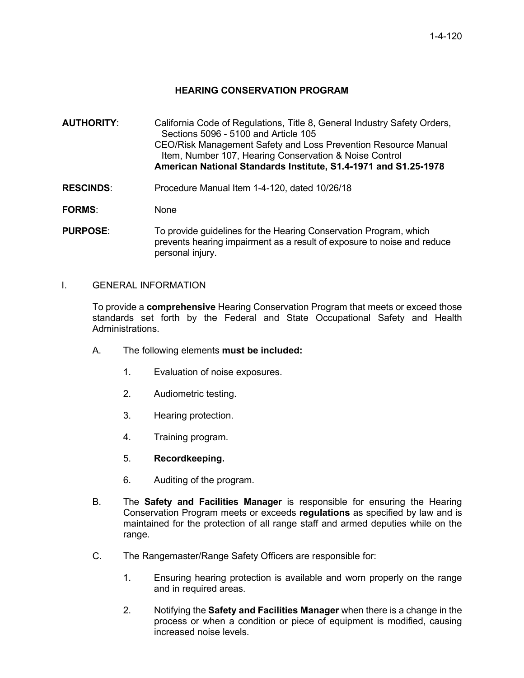## **HEARING CONSERVATION PROGRAM**

- **AUTHORITY**: California Code of Regulations, Title 8, General Industry Safety Orders, Sections 5096 - 5100 and Article 105 CEO/Risk Management Safety and Loss Prevention Resource Manual Item, Number 107, Hearing Conservation & Noise Control **American National Standards Institute, S1.4-1971 and S1.25-1978**
- **RESCINDS**: Procedure Manual Item 1-4-120, dated 10/26/18

**FORMS**: None

**PURPOSE:** To provide quidelines for the Hearing Conservation Program, which prevents hearing impairment as a result of exposure to noise and reduce personal injury.

I. GENERAL INFORMATION

To provide a **comprehensive** Hearing Conservation Program that meets or exceed those standards set forth by the Federal and State Occupational Safety and Health Administrations.

- A. The following elements **must be included:**
	- 1. Evaluation of noise exposures.
	- 2. Audiometric testing.
	- 3. Hearing protection.
	- 4. Training program.
	- 5. **Recordkeeping.**
	- 6. Auditing of the program.
- B. The **Safety and Facilities Manager** is responsible for ensuring the Hearing Conservation Program meets or exceeds **regulations** as specified by law and is maintained for the protection of all range staff and armed deputies while on the range.
- C. The Rangemaster/Range Safety Officers are responsible for:
	- 1. Ensuring hearing protection is available and worn properly on the range and in required areas.
	- 2. Notifying the **Safety and Facilities Manager** when there is a change in the process or when a condition or piece of equipment is modified, causing increased noise levels.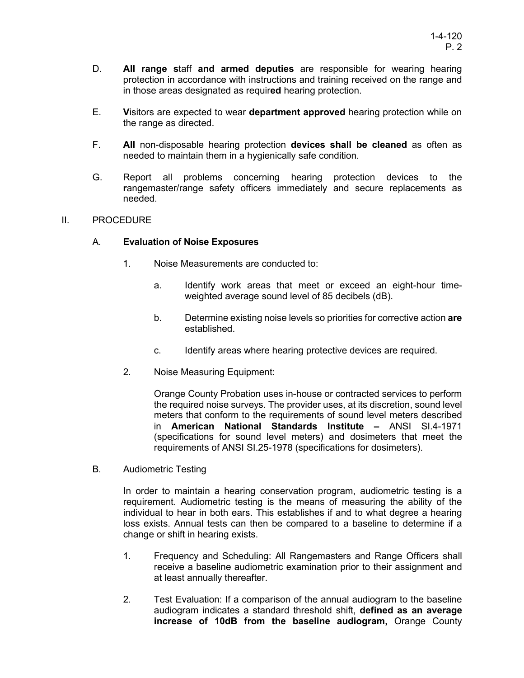- D. **All range s**taff **and armed deputies** are responsible for wearing hearing protection in accordance with instructions and training received on the range and in those areas designated as requir**ed** hearing protection.
- E. **V**isitors are expected to wear **department approved** hearing protection while on the range as directed.
- F. **All** non-disposable hearing protection **devices shall be cleaned** as often as needed to maintain them in a hygienically safe condition.
- G. Report all problems concerning hearing protection devices to the **r**angemaster/range safety officers immediately and secure replacements as needed.

## II. PROCEDURE

## A. **Evaluation of Noise Exposures**

- 1. Noise Measurements are conducted to:
	- a. Identify work areas that meet or exceed an eight-hour timeweighted average sound level of 85 decibels (dB).
	- b. Determine existing noise levels so priorities for corrective action **are** established.
	- c. Identify areas where hearing protective devices are required.
- 2. Noise Measuring Equipment:

Orange County Probation uses in-house or contracted services to perform the required noise surveys. The provider uses, at its discretion, sound level meters that conform to the requirements of sound level meters described in **American National Standards Institute –** ANSI SI.4-1971 (specifications for sound level meters) and dosimeters that meet the requirements of ANSI SI.25-1978 (specifications for dosimeters).

B. Audiometric Testing

In order to maintain a hearing conservation program, audiometric testing is a requirement. Audiometric testing is the means of measuring the ability of the individual to hear in both ears. This establishes if and to what degree a hearing loss exists. Annual tests can then be compared to a baseline to determine if a change or shift in hearing exists.

- 1. Frequency and Scheduling: All Rangemasters and Range Officers shall receive a baseline audiometric examination prior to their assignment and at least annually thereafter.
- 2. Test Evaluation: If a comparison of the annual audiogram to the baseline audiogram indicates a standard threshold shift, **defined as an average increase of 10dB from the baseline audiogram,** Orange County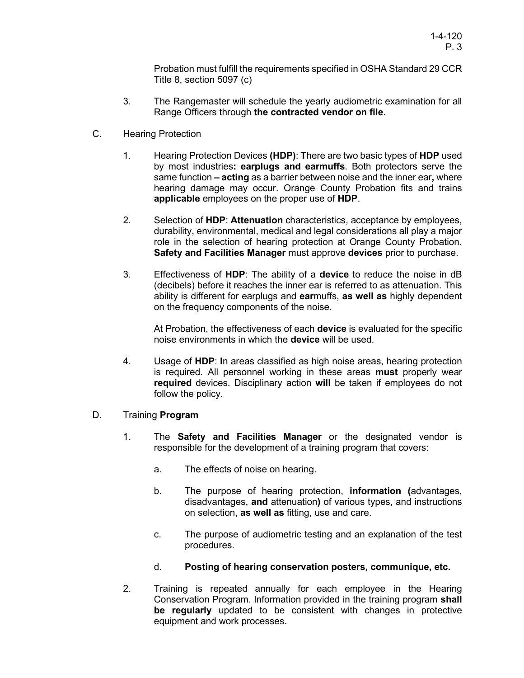Probation must fulfill the requirements specified in OSHA Standard 29 CCR Title 8, section 5097 (c)

- 3. The Rangemaster will schedule the yearly audiometric examination for all Range Officers through **the contracted vendor on file**.
- C. Hearing Protection
	- 1. Hearing Protection Devices **(HDP)**: **T**here are two basic types of **HDP** used by most industries**: earplugs and earmuffs**. Both protectors serve the same function **– acting** as a barrier between noise and the inner ear**,** where hearing damage may occur. Orange County Probation fits and trains **applicable** employees on the proper use of **HDP**.
	- 2. Selection of **HDP**: **Attenuation** characteristics, acceptance by employees, durability, environmental, medical and legal considerations all play a major role in the selection of hearing protection at Orange County Probation. **Safety and Facilities Manager** must approve **devices** prior to purchase.
	- 3. Effectiveness of **HDP**: The ability of a **device** to reduce the noise in dB (decibels) before it reaches the inner ear is referred to as attenuation. This ability is different for earplugs and **ear**muffs, **as well as** highly dependent on the frequency components of the noise.

At Probation, the effectiveness of each **device** is evaluated for the specific noise environments in which the **device** will be used.

- 4. Usage of **HDP**: **I**n areas classified as high noise areas, hearing protection is required. All personnel working in these areas **must** properly wear **required** devices. Disciplinary action **will** be taken if employees do not follow the policy.
- D. Training **Program**
	- 1. The **Safety and Facilities Manager** or the designated vendor is responsible for the development of a training program that covers:
		- a. The effects of noise on hearing.
		- b. The purpose of hearing protection, **information (**advantages, disadvantages, **and** attenuation**)** of various types, and instructions on selection, **as well as** fitting, use and care.
		- c. The purpose of audiometric testing and an explanation of the test procedures.
		- d. **Posting of hearing conservation posters, communique, etc.**
	- 2. Training is repeated annually for each employee in the Hearing Conservation Program. Information provided in the training program **shall be regularly** updated to be consistent with changes in protective equipment and work processes.